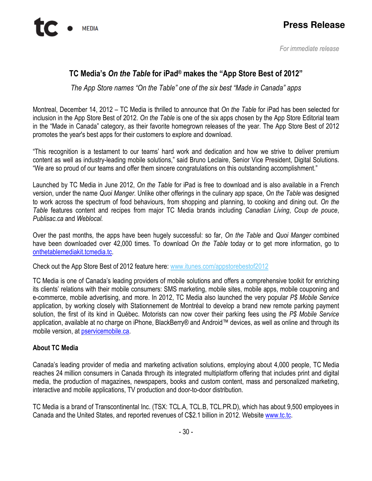## TC Media's On the Table for iPad® makes the "App Store Best of 2012"

The App Store names "On the Table" one of the six best "Made in Canada" apps

Montreal, December 14, 2012 – TC Media is thrilled to announce that On the Table for iPad has been selected for inclusion in the App Store Best of 2012. On the Table is one of the six apps chosen by the App Store Editorial team in the "Made in Canada" category, as their favorite homegrown releases of the year. The App Store Best of 2012 promotes the year's best apps for their customers to explore and download.

"This recognition is a testament to our teams' hard work and dedication and how we strive to deliver premium content as well as industry-leading mobile solutions," said Bruno Leclaire, Senior Vice President, Digital Solutions. "We are so proud of our teams and offer them sincere congratulations on this outstanding accomplishment."

Launched by TC Media in June 2012, On the Table for iPad is free to download and is also available in a French version, under the name Quoi Manger. Unlike other offerings in the culinary app space, On the Table was designed to work across the spectrum of food behaviours, from shopping and planning, to cooking and dining out. On the Table features content and recipes from major TC Media brands including Canadian Living, Coup de pouce, Publisac.ca and Weblocal.

Over the past months, the apps have been hugely successful: so far, On the Table and Quoi Manger combined have been downloaded over 42,000 times. To download On the Table today or to get more information, go to onthetablemediakit.tcmedia.tc.

Check out the App Store Best of 2012 feature here: www.itunes.com/appstorebestof2012

TC Media is one of Canada's leading providers of mobile solutions and offers a comprehensive toolkit for enriching its clients' relations with their mobile consumers: SMS marketing, mobile sites, mobile apps, mobile couponing and e-commerce, mobile advertising, and more. In 2012, TC Media also launched the very popular P\$ Mobile Service application, by working closely with Stationnement de Montréal to develop a brand new remote parking payment solution, the first of its kind in Québec. Motorists can now cover their parking fees using the P\$ Mobile Service application, available at no charge on iPhone, BlackBerry® and Android™ devices, as well as online and through its mobile version, at pservicemobile.ca.

## About TC Media

Canada's leading provider of media and marketing activation solutions, employing about 4,000 people, TC Media reaches 24 million consumers in Canada through its integrated multiplatform offering that includes print and digital media, the production of magazines, newspapers, books and custom content, mass and personalized marketing, interactive and mobile applications, TV production and door-to-door distribution.

TC Media is a brand of Transcontinental Inc. (TSX: TCL.A, TCL.B, TCL.PR.D), which has about 9,500 employees in Canada and the United States, and reported revenues of C\$2.1 billion in 2012. Website www.tc.tc.